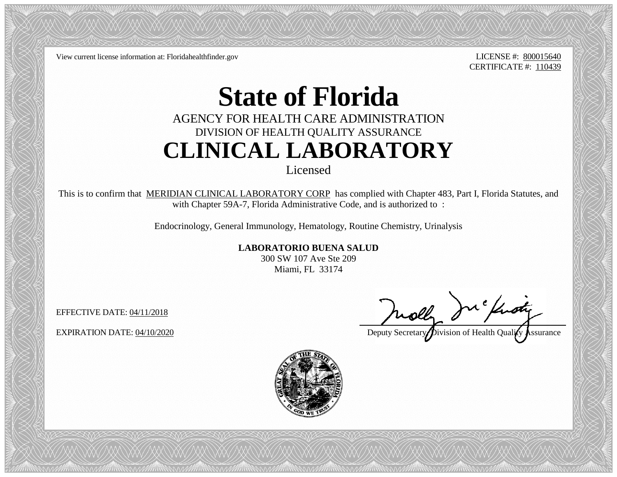View current license information at: Floridahealthfinder.gov LICENSE #: 800015640

CERTIFICATE #: 110439

## **State of Florida**

## AGENCY FOR HEALTH CARE ADMINISTRATION DIVISION OF HEALTH QUALITY ASSURANCE **CLINICAL LABORATORY**

Licensed

This is to confirm that MERIDIAN CLINICAL LABORATORY CORP has complied with Chapter 483, Part I, Florida Statutes, and with Chapter 59A-7, Florida Administrative Code, and is authorized to:

Endocrinology, General Immunology, Hematology, Routine Chemistry, Urinalysis

**LABORATORIO BUENA SALUD**

300 SW 107 Ave Ste 209 Miami, FL 33174

EFFECTIVE DATE: 04/11/2018

EFFECTIVE DATE: 04/11/2018<br>EXPIRATION DATE: 04/10/2020

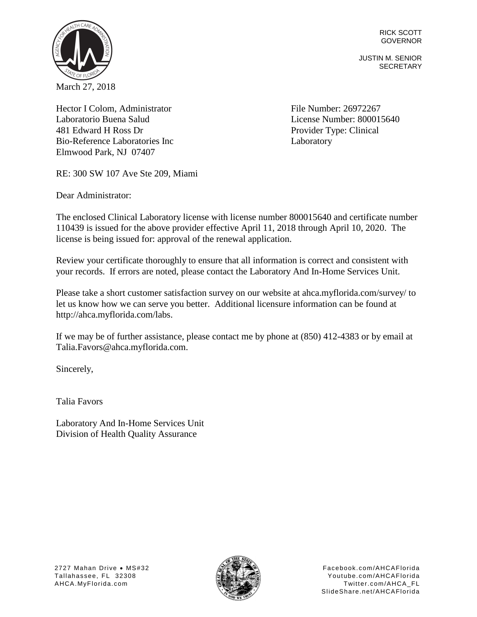RICK SCOTT GOVERNOR

JUSTIN M. SENIOR **SECRETARY** 



Hector I Colom, Administrator File Number: 26972267 Laboratorio Buena Salud License Number: 800015640 481 Edward H Ross Dr Bio-Reference Laboratories Inc Elmwood Park, NJ 07407

Provider Type: Clinical **Laboratory** 

RE: 300 SW 107 Ave Ste 209, Miami

Dear Administrator:

The enclosed Clinical Laboratory license with license number 800015640 and certificate number 110439 is issued for the above provider effective April 11, 2018 through April 10, 2020. The license is being issued for: approval of the renewal application.

Review your certificate thoroughly to ensure that all information is correct and consistent with your records. If errors are noted, please contact the Laboratory And In-Home Services Unit.

Please take a short customer satisfaction survey on our website at ahca.myflorida.com/survey/ to let us know how we can serve you better. Additional licensure information can be found at http://ahca.myflorida.com/labs.

If we may be of further assistance, please contact me by phone at (850) 412-4383 or by email at Talia.Favors@ahca.myflorida.com.

Sincerely,

Talia Favors

Laboratory And In-Home Services Unit Division of Health Quality Assurance